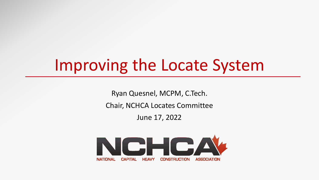# Improving the Locate System

Ryan Quesnel, MCPM, C.Tech.

Chair, NCHCA Locates Committee

June 17, 2022

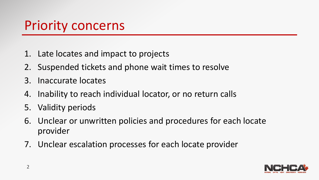## Priority concerns

- 1. Late locates and impact to projects
- 2. Suspended tickets and phone wait times to resolve
- 3. Inaccurate locates
- 4. Inability to reach individual locator, or no return calls
- 5. Validity periods
- 6. Unclear or unwritten policies and procedures for each locate provider
- 7. Unclear escalation processes for each locate provider

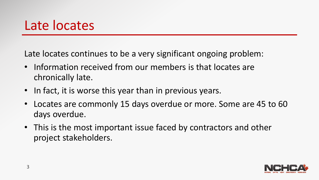#### Late locates

Late locates continues to be a very significant ongoing problem:

- Information received from our members is that locates are chronically late.
- In fact, it is worse this year than in previous years.
- Locates are commonly 15 days overdue or more. Some are 45 to 60 days overdue.
- This is the most important issue faced by contractors and other project stakeholders.

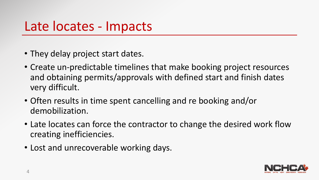#### Late locates - Impacts

- They delay project start dates.
- Create un-predictable timelines that make booking project resources and obtaining permits/approvals with defined start and finish dates very difficult.
- Often results in time spent cancelling and re booking and/or demobilization.
- Late locates can force the contractor to change the desired work flow creating inefficiencies.
- Lost and unrecoverable working days.

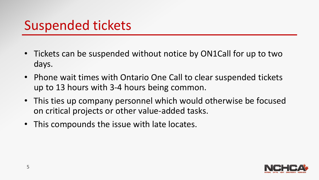## Suspended tickets

- Tickets can be suspended without notice by ON1Call for up to two days.
- Phone wait times with Ontario One Call to clear suspended tickets up to 13 hours with 3-4 hours being common.
- This ties up company personnel which would otherwise be focused on critical projects or other value-added tasks.
- This compounds the issue with late locates.

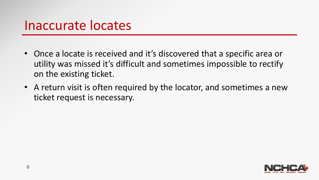#### Inaccurate locates

- Once a locate is received and it's discovered that a specific area or utility was missed it's difficult and sometimes impossible to rectify on the existing ticket.
- A return visit is often required by the locator, and sometimes a new ticket request is necessary.

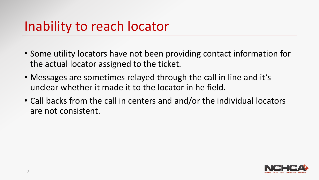#### Inability to reach locator

- Some utility locators have not been providing contact information for the actual locator assigned to the ticket.
- Messages are sometimes relayed through the call in line and it's unclear whether it made it to the locator in he field.
- Call backs from the call in centers and and/or the individual locators are not consistent.

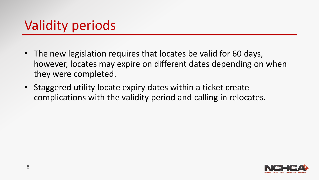## Validity periods

- The new legislation requires that locates be valid for 60 days, however, locates may expire on different dates depending on when they were completed.
- Staggered utility locate expiry dates within a ticket create complications with the validity period and calling in relocates.

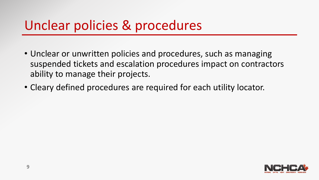### Unclear policies & procedures

- Unclear or unwritten policies and procedures, such as managing suspended tickets and escalation procedures impact on contractors ability to manage their projects.
- Cleary defined procedures are required for each utility locator.

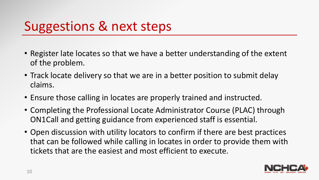## Suggestions & next steps

- Register late locates so that we have a better understanding of the extent of the problem.
- Track locate delivery so that we are in a better position to submit delay claims.
- Ensure those calling in locates are properly trained and instructed.
- Completing the Professional Locate Administrator Course (PLAC) through ON1Call and getting guidance from experienced staff is essential.
- Open discussion with utility locators to confirm if there are best practices that can be followed while calling in locates in order to provide them with tickets that are the easiest and most efficient to execute.

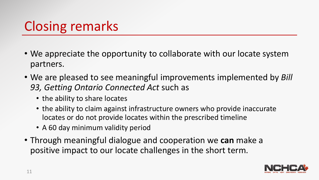# Closing remarks

- We appreciate the opportunity to collaborate with our locate system partners.
- We are pleased to see meaningful improvements implemented by *Bill 93, Getting Ontario Connected Act* such as
	- the ability to share locates
	- the ability to claim against infrastructure owners who provide inaccurate locates or do not provide locates within the prescribed timeline
	- A 60 day minimum validity period
- Through meaningful dialogue and cooperation we **can** make a positive impact to our locate challenges in the short term.